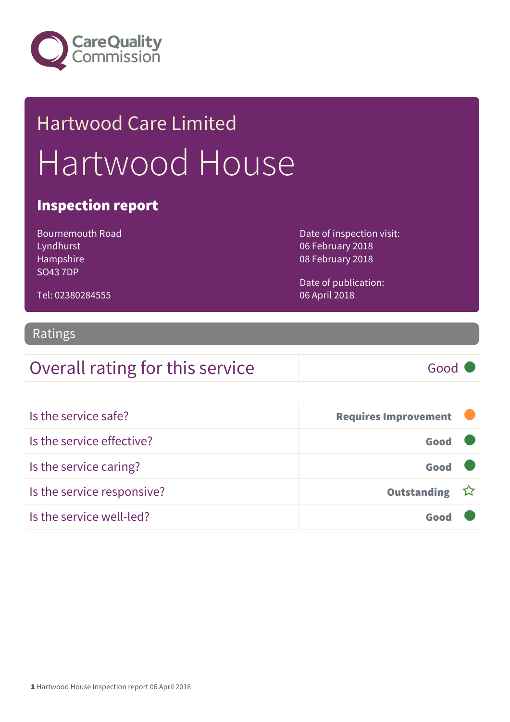

# Hartwood Care Limited Hartwood House

#### Inspection report

Bournemouth Road Lyndhurst Hampshire SO43 7DP

Date of inspection visit: 06 February 2018 08 February 2018

Date of publication: 06 April 2018

## Tel: 02380284555

#### Ratings

### Overall rating for this service Good

| Is the service safe?       | <b>Requires Improvement</b> |  |
|----------------------------|-----------------------------|--|
| Is the service effective?  | Good                        |  |
| Is the service caring?     | Good                        |  |
| Is the service responsive? | Outstanding ☆               |  |
| Is the service well-led?   | Goo                         |  |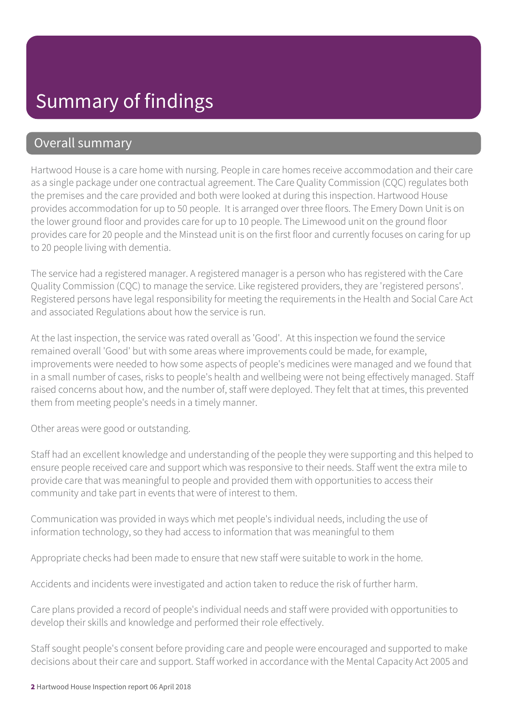#### Overall summary

Hartwood House is a care home with nursing. People in care homes receive accommodation and their care as a single package under one contractual agreement. The Care Quality Commission (CQC) regulates both the premises and the care provided and both were looked at during this inspection. Hartwood House provides accommodation for up to 50 people. It is arranged over three floors. The Emery Down Unit is on the lower ground floor and provides care for up to 10 people. The Limewood unit on the ground floor provides care for 20 people and the Minstead unit is on the first floor and currently focuses on caring for up to 20 people living with dementia.

The service had a registered manager. A registered manager is a person who has registered with the Care Quality Commission (CQC) to manage the service. Like registered providers, they are 'registered persons'. Registered persons have legal responsibility for meeting the requirements in the Health and Social Care Act and associated Regulations about how the service is run.

At the last inspection, the service was rated overall as 'Good'. At this inspection we found the service remained overall 'Good' but with some areas where improvements could be made, for example, improvements were needed to how some aspects of people's medicines were managed and we found that in a small number of cases, risks to people's health and wellbeing were not being effectively managed. Staff raised concerns about how, and the number of, staff were deployed. They felt that at times, this prevented them from meeting people's needs in a timely manner.

Other areas were good or outstanding.

Staff had an excellent knowledge and understanding of the people they were supporting and this helped to ensure people received care and support which was responsive to their needs. Staff went the extra mile to provide care that was meaningful to people and provided them with opportunities to access their community and take part in events that were of interest to them.

Communication was provided in ways which met people's individual needs, including the use of information technology, so they had access to information that was meaningful to them

Appropriate checks had been made to ensure that new staff were suitable to work in the home.

Accidents and incidents were investigated and action taken to reduce the risk of further harm.

Care plans provided a record of people's individual needs and staff were provided with opportunities to develop their skills and knowledge and performed their role effectively.

Staff sought people's consent before providing care and people were encouraged and supported to make decisions about their care and support. Staff worked in accordance with the Mental Capacity Act 2005 and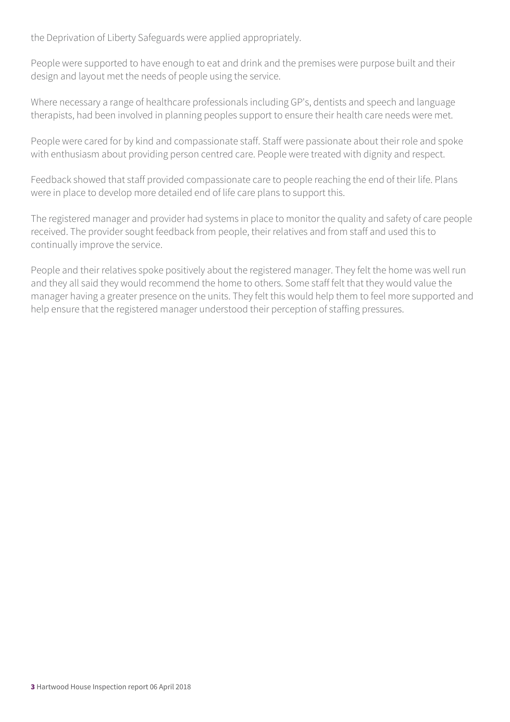the Deprivation of Liberty Safeguards were applied appropriately.

People were supported to have enough to eat and drink and the premises were purpose built and their design and layout met the needs of people using the service.

Where necessary a range of healthcare professionals including GP's, dentists and speech and language therapists, had been involved in planning peoples support to ensure their health care needs were met.

People were cared for by kind and compassionate staff. Staff were passionate about their role and spoke with enthusiasm about providing person centred care. People were treated with dignity and respect.

Feedback showed that staff provided compassionate care to people reaching the end of their life. Plans were in place to develop more detailed end of life care plans to support this.

The registered manager and provider had systems in place to monitor the quality and safety of care people received. The provider sought feedback from people, their relatives and from staff and used this to continually improve the service.

People and their relatives spoke positively about the registered manager. They felt the home was well run and they all said they would recommend the home to others. Some staff felt that they would value the manager having a greater presence on the units. They felt this would help them to feel more supported and help ensure that the registered manager understood their perception of staffing pressures.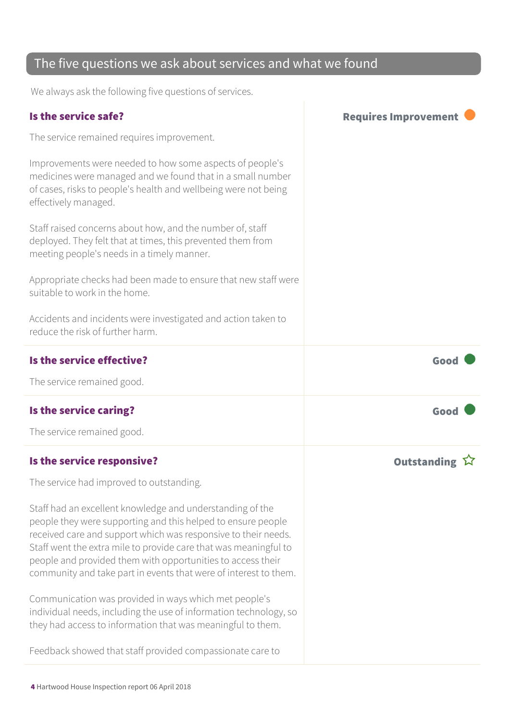#### The five questions we ask about services and what we found

We always ask the following five questions of services.

| Is the service safe?                                                                                                                                                                                                                                                                                                                                                                               | <b>Requires Improvement</b> |
|----------------------------------------------------------------------------------------------------------------------------------------------------------------------------------------------------------------------------------------------------------------------------------------------------------------------------------------------------------------------------------------------------|-----------------------------|
| The service remained requires improvement.                                                                                                                                                                                                                                                                                                                                                         |                             |
| Improvements were needed to how some aspects of people's<br>medicines were managed and we found that in a small number<br>of cases, risks to people's health and wellbeing were not being<br>effectively managed.                                                                                                                                                                                  |                             |
| Staff raised concerns about how, and the number of, staff<br>deployed. They felt that at times, this prevented them from<br>meeting people's needs in a timely manner.                                                                                                                                                                                                                             |                             |
| Appropriate checks had been made to ensure that new staff were<br>suitable to work in the home.                                                                                                                                                                                                                                                                                                    |                             |
| Accidents and incidents were investigated and action taken to<br>reduce the risk of further harm.                                                                                                                                                                                                                                                                                                  |                             |
| Is the service effective?                                                                                                                                                                                                                                                                                                                                                                          | Good                        |
| The service remained good.                                                                                                                                                                                                                                                                                                                                                                         |                             |
| Is the service caring?                                                                                                                                                                                                                                                                                                                                                                             | Good                        |
| The service remained good.                                                                                                                                                                                                                                                                                                                                                                         |                             |
| Is the service responsive?                                                                                                                                                                                                                                                                                                                                                                         | <b>Outstanding</b>          |
| The service had improved to outstanding.                                                                                                                                                                                                                                                                                                                                                           |                             |
| Staff had an excellent knowledge and understanding of the<br>people they were supporting and this helped to ensure people<br>received care and support which was responsive to their needs.<br>Staff went the extra mile to provide care that was meaningful to<br>people and provided them with opportunities to access their<br>community and take part in events that were of interest to them. |                             |
| Communication was provided in ways which met people's<br>individual needs, including the use of information technology, so<br>they had access to information that was meaningful to them.                                                                                                                                                                                                          |                             |
| Feedback showed that staff provided compassionate care to                                                                                                                                                                                                                                                                                                                                          |                             |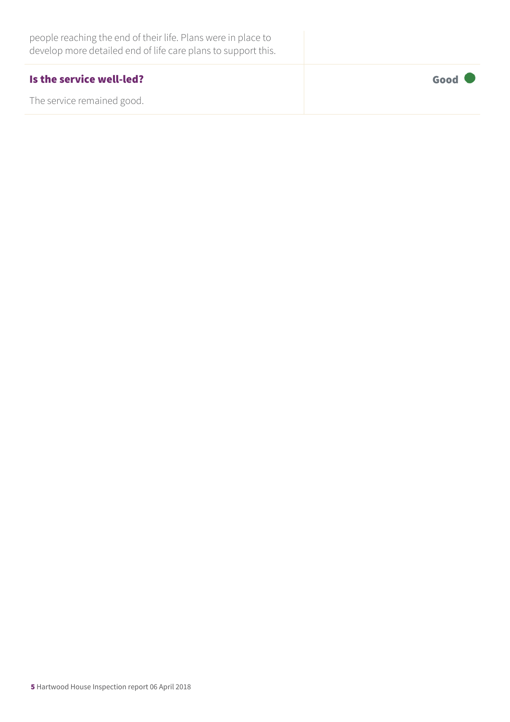| people reaching the end of their life. Plans were in place to<br>develop more detailed end of life care plans to support this. |      |
|--------------------------------------------------------------------------------------------------------------------------------|------|
| Is the service well-led?                                                                                                       | Good |
| The service remained good.                                                                                                     |      |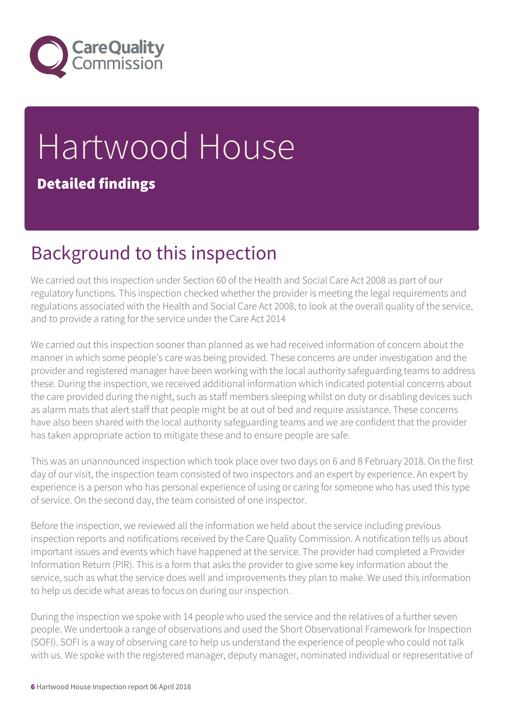

# Hartwood House Detailed findings

# Background to this inspection

We carried out this inspection under Section 60 of the Health and Social Care Act 2008 as part of our regulatory functions. This inspection checked whether the provider is meeting the legal requirements and regulations associated with the Health and Social Care Act 2008, to look at the overall quality of the service, and to provide a rating for the service under the Care Act 2014

We carried out this inspection sooner than planned as we had received information of concern about the manner in which some people's care was being provided. These concerns are under investigation and the provider and registered manager have been working with the local authority safeguarding teams to address these. During the inspection, we received additional information which indicated potential concerns about the care provided during the night, such as staff members sleeping whilst on duty or disabling devices such as alarm mats that alert staff that people might be at out of bed and require assistance. These concerns have also been shared with the local authority safeguarding teams and we are confident that the provider has taken appropriate action to mitigate these and to ensure people are safe.

This was an unannounced inspection which took place over two days on 6 and 8 February 2018. On the first day of our visit, the inspection team consisted of two inspectors and an expert by experience. An expert by experience is a person who has personal experience of using or caring for someone who has used this type of service. On the second day, the team consisted of one inspector.

Before the inspection, we reviewed all the information we held about the service including previous inspection reports and notifications received by the Care Quality Commission. A notification tells us about important issues and events which have happened at the service. The provider had completed a Provider Information Return (PIR). This is a form that asks the provider to give some key information about the service, such as what the service does well and improvements they plan to make. We used this information to help us decide what areas to focus on during our inspection.

During the inspection we spoke with 14 people who used the service and the relatives of a further seven people. We undertook a range of observations and used the Short Observational Framework for Inspection (SOFI). SOFI is a way of observing care to help us understand the experience of people who could not talk with us. We spoke with the registered manager, deputy manager, nominated individual or representative of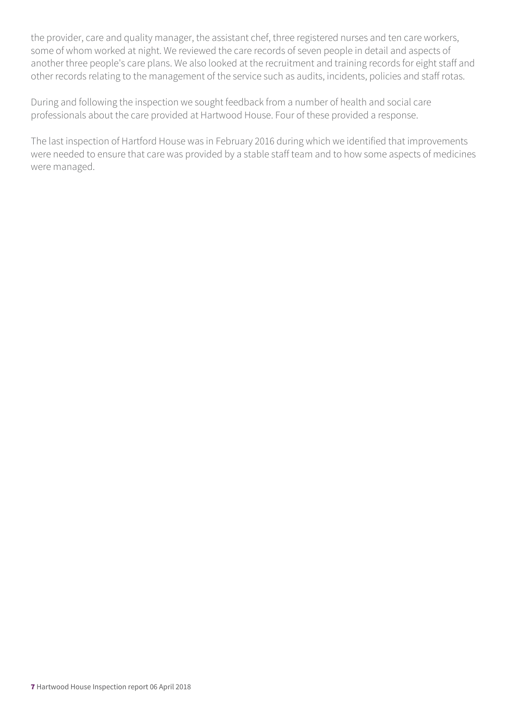the provider, care and quality manager, the assistant chef, three registered nurses and ten care workers, some of whom worked at night. We reviewed the care records of seven people in detail and aspects of another three people's care plans. We also looked at the recruitment and training records for eight staff and other records relating to the management of the service such as audits, incidents, policies and staff rotas.

During and following the inspection we sought feedback from a number of health and social care professionals about the care provided at Hartwood House. Four of these provided a response.

The last inspection of Hartford House was in February 2016 during which we identified that improvements were needed to ensure that care was provided by a stable staff team and to how some aspects of medicines were managed.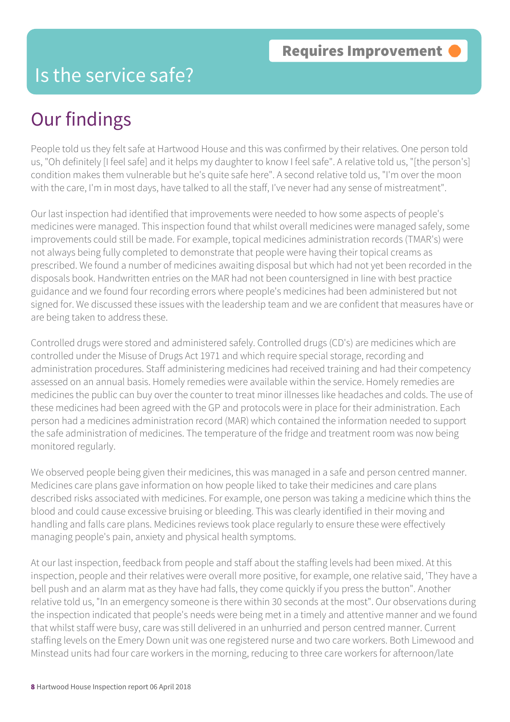### Is the service safe?

# Our findings

People told us they felt safe at Hartwood House and this was confirmed by their relatives. One person told us, "Oh definitely [I feel safe] and it helps my daughter to know I feel safe". A relative told us, "[the person's] condition makes them vulnerable but he's quite safe here". A second relative told us, "I'm over the moon with the care, I'm in most days, have talked to all the staff, I've never had any sense of mistreatment".

Our last inspection had identified that improvements were needed to how some aspects of people's medicines were managed. This inspection found that whilst overall medicines were managed safely, some improvements could still be made. For example, topical medicines administration records (TMAR's) were not always being fully completed to demonstrate that people were having their topical creams as prescribed. We found a number of medicines awaiting disposal but which had not yet been recorded in the disposals book. Handwritten entries on the MAR had not been countersigned in Iine with best practice guidance and we found four recording errors where people's medicines had been administered but not signed for. We discussed these issues with the leadership team and we are confident that measures have or are being taken to address these.

Controlled drugs were stored and administered safely. Controlled drugs (CD's) are medicines which are controlled under the Misuse of Drugs Act 1971 and which require special storage, recording and administration procedures. Staff administering medicines had received training and had their competency assessed on an annual basis. Homely remedies were available within the service. Homely remedies are medicines the public can buy over the counter to treat minor illnesses like headaches and colds. The use of these medicines had been agreed with the GP and protocols were in place for their administration. Each person had a medicines administration record (MAR) which contained the information needed to support the safe administration of medicines. The temperature of the fridge and treatment room was now being monitored regularly.

We observed people being given their medicines, this was managed in a safe and person centred manner. Medicines care plans gave information on how people liked to take their medicines and care plans described risks associated with medicines. For example, one person was taking a medicine which thins the blood and could cause excessive bruising or bleeding. This was clearly identified in their moving and handling and falls care plans. Medicines reviews took place regularly to ensure these were effectively managing people's pain, anxiety and physical health symptoms.

At our last inspection, feedback from people and staff about the staffing levels had been mixed. At this inspection, people and their relatives were overall more positive, for example, one relative said, 'They have a bell push and an alarm mat as they have had falls, they come quickly if you press the button". Another relative told us, "In an emergency someone is there within 30 seconds at the most". Our observations during the inspection indicated that people's needs were being met in a timely and attentive manner and we found that whilst staff were busy, care was still delivered in an unhurried and person centred manner. Current staffing levels on the Emery Down unit was one registered nurse and two care workers. Both Limewood and Minstead units had four care workers in the morning, reducing to three care workers for afternoon/late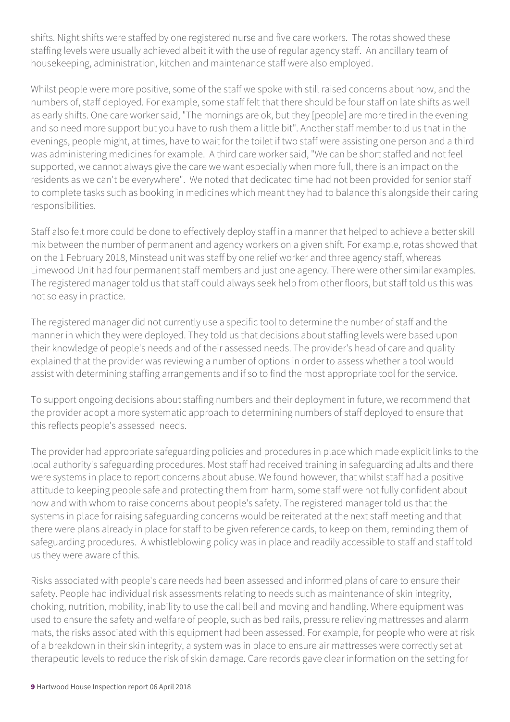shifts. Night shifts were staffed by one registered nurse and five care workers. The rotas showed these staffing levels were usually achieved albeit it with the use of regular agency staff. An ancillary team of housekeeping, administration, kitchen and maintenance staff were also employed.

Whilst people were more positive, some of the staff we spoke with still raised concerns about how, and the numbers of, staff deployed. For example, some staff felt that there should be four staff on late shifts as well as early shifts. One care worker said, "The mornings are ok, but they [people] are more tired in the evening and so need more support but you have to rush them a little bit". Another staff member told us that in the evenings, people might, at times, have to wait for the toilet if two staff were assisting one person and a third was administering medicines for example. A third care worker said, "We can be short staffed and not feel supported, we cannot always give the care we want especially when more full, there is an impact on the residents as we can't be everywhere". We noted that dedicated time had not been provided for senior staff to complete tasks such as booking in medicines which meant they had to balance this alongside their caring responsibilities.

Staff also felt more could be done to effectively deploy staff in a manner that helped to achieve a better skill mix between the number of permanent and agency workers on a given shift. For example, rotas showed that on the 1 February 2018, Minstead unit was staff by one relief worker and three agency staff, whereas Limewood Unit had four permanent staff members and just one agency. There were other similar examples. The registered manager told us that staff could always seek help from other floors, but staff told us this was not so easy in practice.

The registered manager did not currently use a specific tool to determine the number of staff and the manner in which they were deployed. They told us that decisions about staffing levels were based upon their knowledge of people's needs and of their assessed needs. The provider's head of care and quality explained that the provider was reviewing a number of options in order to assess whether a tool would assist with determining staffing arrangements and if so to find the most appropriate tool for the service.

To support ongoing decisions about staffing numbers and their deployment in future, we recommend that the provider adopt a more systematic approach to determining numbers of staff deployed to ensure that this reflects people's assessed needs.

The provider had appropriate safeguarding policies and procedures in place which made explicit links to the local authority's safeguarding procedures. Most staff had received training in safeguarding adults and there were systems in place to report concerns about abuse. We found however, that whilst staff had a positive attitude to keeping people safe and protecting them from harm, some staff were not fully confident about how and with whom to raise concerns about people's safety. The registered manager told us that the systems in place for raising safeguarding concerns would be reiterated at the next staff meeting and that there were plans already in place for staff to be given reference cards, to keep on them, reminding them of safeguarding procedures. A whistleblowing policy was in place and readily accessible to staff and staff told us they were aware of this.

Risks associated with people's care needs had been assessed and informed plans of care to ensure their safety. People had individual risk assessments relating to needs such as maintenance of skin integrity, choking, nutrition, mobility, inability to use the call bell and moving and handling. Where equipment was used to ensure the safety and welfare of people, such as bed rails, pressure relieving mattresses and alarm mats, the risks associated with this equipment had been assessed. For example, for people who were at risk of a breakdown in their skin integrity, a system was in place to ensure air mattresses were correctly set at therapeutic levels to reduce the risk of skin damage. Care records gave clear information on the setting for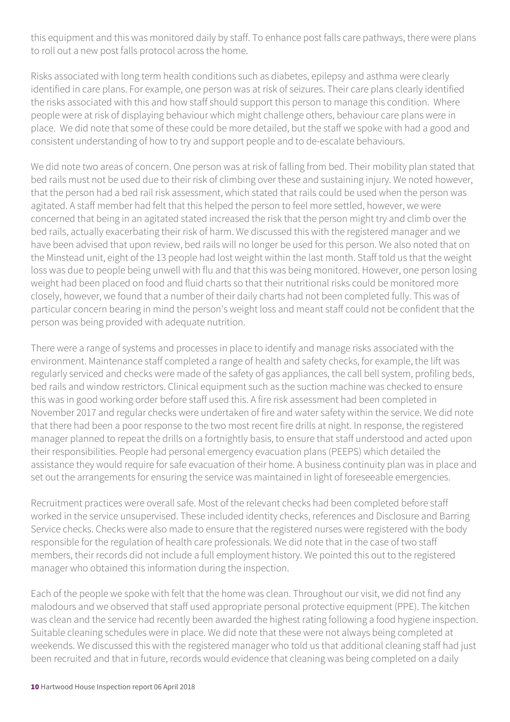this equipment and this was monitored daily by staff. To enhance post falls care pathways, there were plans to roll out a new post falls protocol across the home.

Risks associated with long term health conditions such as diabetes, epilepsy and asthma were clearly identified in care plans. For example, one person was at risk of seizures. Their care plans clearly identified the risks associated with this and how staff should support this person to manage this condition. Where people were at risk of displaying behaviour which might challenge others, behaviour care plans were in place. We did note that some of these could be more detailed, but the staff we spoke with had a good and consistent understanding of how to try and support people and to de-escalate behaviours.

We did note two areas of concern. One person was at risk of falling from bed. Their mobility plan stated that bed rails must not be used due to their risk of climbing over these and sustaining injury. We noted however, that the person had a bed rail risk assessment, which stated that rails could be used when the person was agitated. A staff member had felt that this helped the person to feel more settled, however, we were concerned that being in an agitated stated increased the risk that the person might try and climb over the bed rails, actually exacerbating their risk of harm. We discussed this with the registered manager and we have been advised that upon review, bed rails will no longer be used for this person. We also noted that on the Minstead unit, eight of the 13 people had lost weight within the last month. Staff told us that the weight loss was due to people being unwell with flu and that this was being monitored. However, one person losing weight had been placed on food and fluid charts so that their nutritional risks could be monitored more closely, however, we found that a number of their daily charts had not been completed fully. This was of particular concern bearing in mind the person's weight loss and meant staff could not be confident that the person was being provided with adequate nutrition.

There were a range of systems and processes in place to identify and manage risks associated with the environment. Maintenance staff completed a range of health and safety checks, for example, the lift was regularly serviced and checks were made of the safety of gas appliances, the call bell system, profiling beds, bed rails and window restrictors. Clinical equipment such as the suction machine was checked to ensure this was in good working order before staff used this. A fire risk assessment had been completed in November 2017 and regular checks were undertaken of fire and water safety within the service. We did note that there had been a poor response to the two most recent fire drills at night. In response, the registered manager planned to repeat the drills on a fortnightly basis, to ensure that staff understood and acted upon their responsibilities. People had personal emergency evacuation plans (PEEPS) which detailed the assistance they would require for safe evacuation of their home. A business continuity plan was in place and set out the arrangements for ensuring the service was maintained in light of foreseeable emergencies.

Recruitment practices were overall safe. Most of the relevant checks had been completed before staff worked in the service unsupervised. These included identity checks, references and Disclosure and Barring Service checks. Checks were also made to ensure that the registered nurses were registered with the body responsible for the regulation of health care professionals. We did note that in the case of two staff members, their records did not include a full employment history. We pointed this out to the registered manager who obtained this information during the inspection.

Each of the people we spoke with felt that the home was clean. Throughout our visit, we did not find any malodours and we observed that staff used appropriate personal protective equipment (PPE). The kitchen was clean and the service had recently been awarded the highest rating following a food hygiene inspection. Suitable cleaning schedules were in place. We did note that these were not always being completed at weekends. We discussed this with the registered manager who told us that additional cleaning staff had just been recruited and that in future, records would evidence that cleaning was being completed on a daily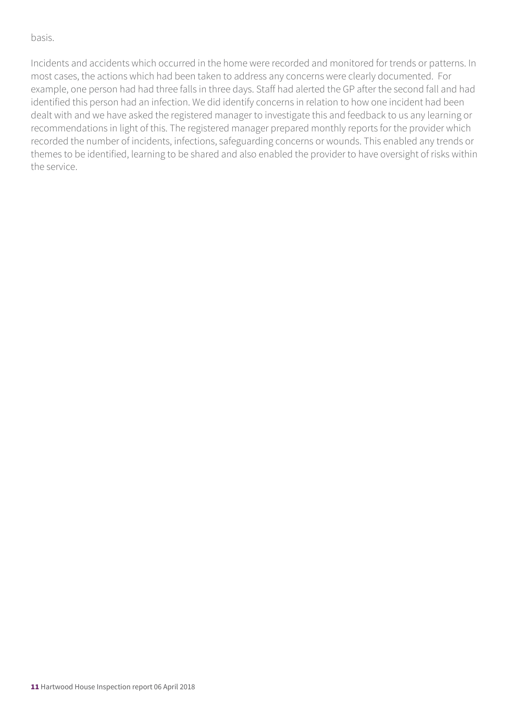#### basis.

Incidents and accidents which occurred in the home were recorded and monitored for trends or patterns. In most cases, the actions which had been taken to address any concerns were clearly documented. For example, one person had had three falls in three days. Staff had alerted the GP after the second fall and had identified this person had an infection. We did identify concerns in relation to how one incident had been dealt with and we have asked the registered manager to investigate this and feedback to us any learning or recommendations in light of this. The registered manager prepared monthly reports for the provider which recorded the number of incidents, infections, safeguarding concerns or wounds. This enabled any trends or themes to be identified, learning to be shared and also enabled the provider to have oversight of risks within the service.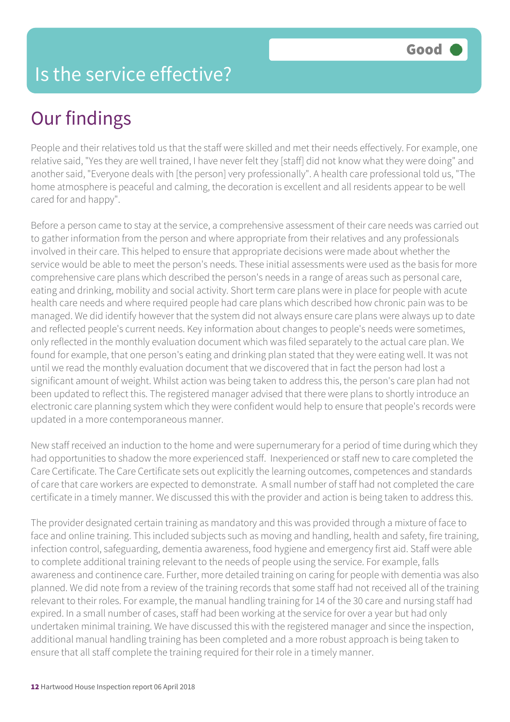## Is the service effective?

# Our findings

People and their relatives told us that the staff were skilled and met their needs effectively. For example, one relative said, "Yes they are well trained, I have never felt they [staff] did not know what they were doing" and another said, "Everyone deals with [the person] very professionally". A health care professional told us, "The home atmosphere is peaceful and calming, the decoration is excellent and all residents appear to be well cared for and happy".

Before a person came to stay at the service, a comprehensive assessment of their care needs was carried out to gather information from the person and where appropriate from their relatives and any professionals involved in their care. This helped to ensure that appropriate decisions were made about whether the service would be able to meet the person's needs. These initial assessments were used as the basis for more comprehensive care plans which described the person's needs in a range of areas such as personal care, eating and drinking, mobility and social activity. Short term care plans were in place for people with acute health care needs and where required people had care plans which described how chronic pain was to be managed. We did identify however that the system did not always ensure care plans were always up to date and reflected people's current needs. Key information about changes to people's needs were sometimes, only reflected in the monthly evaluation document which was filed separately to the actual care plan. We found for example, that one person's eating and drinking plan stated that they were eating well. It was not until we read the monthly evaluation document that we discovered that in fact the person had lost a significant amount of weight. Whilst action was being taken to address this, the person's care plan had not been updated to reflect this. The registered manager advised that there were plans to shortly introduce an electronic care planning system which they were confident would help to ensure that people's records were updated in a more contemporaneous manner.

New staff received an induction to the home and were supernumerary for a period of time during which they had opportunities to shadow the more experienced staff. Inexperienced or staff new to care completed the Care Certificate. The Care Certificate sets out explicitly the learning outcomes, competences and standards of care that care workers are expected to demonstrate. A small number of staff had not completed the care certificate in a timely manner. We discussed this with the provider and action is being taken to address this.

The provider designated certain training as mandatory and this was provided through a mixture of face to face and online training. This included subjects such as moving and handling, health and safety, fire training, infection control, safeguarding, dementia awareness, food hygiene and emergency first aid. Staff were able to complete additional training relevant to the needs of people using the service. For example, falls awareness and continence care. Further, more detailed training on caring for people with dementia was also planned. We did note from a review of the training records that some staff had not received all of the training relevant to their roles. For example, the manual handling training for 14 of the 30 care and nursing staff had expired. In a small number of cases, staff had been working at the service for over a year but had only undertaken minimal training. We have discussed this with the registered manager and since the inspection, additional manual handling training has been completed and a more robust approach is being taken to ensure that all staff complete the training required for their role in a timely manner.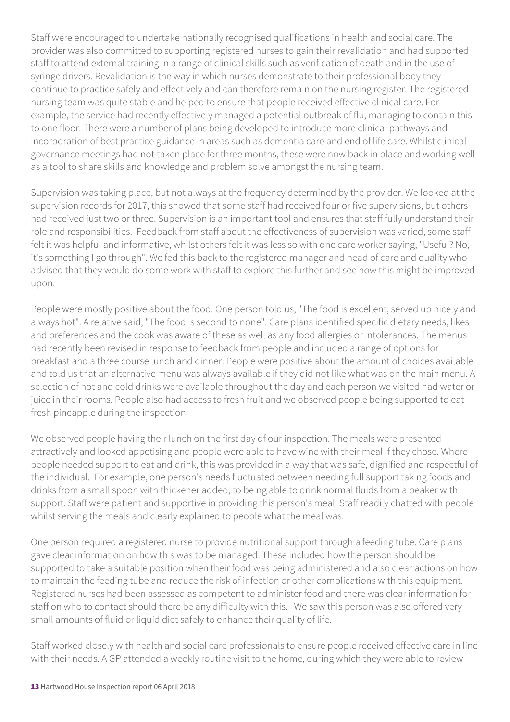Staff were encouraged to undertake nationally recognised qualifications in health and social care. The provider was also committed to supporting registered nurses to gain their revalidation and had supported staff to attend external training in a range of clinical skills such as verification of death and in the use of syringe drivers. Revalidation is the way in which nurses demonstrate to their professional body they continue to practice safely and effectively and can therefore remain on the nursing register. The registered nursing team was quite stable and helped to ensure that people received effective clinical care. For example, the service had recently effectively managed a potential outbreak of flu, managing to contain this to one floor. There were a number of plans being developed to introduce more clinical pathways and incorporation of best practice guidance in areas such as dementia care and end of life care. Whilst clinical governance meetings had not taken place for three months, these were now back in place and working well as a tool to share skills and knowledge and problem solve amongst the nursing team.

Supervision was taking place, but not always at the frequency determined by the provider. We looked at the supervision records for 2017, this showed that some staff had received four or five supervisions, but others had received just two or three. Supervision is an important tool and ensures that staff fully understand their role and responsibilities. Feedback from staff about the effectiveness of supervision was varied, some staff felt it was helpful and informative, whilst others felt it was less so with one care worker saying, "Useful? No, it's something I go through". We fed this back to the registered manager and head of care and quality who advised that they would do some work with staff to explore this further and see how this might be improved upon.

People were mostly positive about the food. One person told us, "The food is excellent, served up nicely and always hot". A relative said, "The food is second to none". Care plans identified specific dietary needs, likes and preferences and the cook was aware of these as well as any food allergies or intolerances. The menus had recently been revised in response to feedback from people and included a range of options for breakfast and a three course lunch and dinner. People were positive about the amount of choices available and told us that an alternative menu was always available if they did not like what was on the main menu. A selection of hot and cold drinks were available throughout the day and each person we visited had water or juice in their rooms. People also had access to fresh fruit and we observed people being supported to eat fresh pineapple during the inspection.

We observed people having their lunch on the first day of our inspection. The meals were presented attractively and looked appetising and people were able to have wine with their meal if they chose. Where people needed support to eat and drink, this was provided in a way that was safe, dignified and respectful of the individual. For example, one person's needs fluctuated between needing full support taking foods and drinks from a small spoon with thickener added, to being able to drink normal fluids from a beaker with support. Staff were patient and supportive in providing this person's meal. Staff readily chatted with people whilst serving the meals and clearly explained to people what the meal was.

One person required a registered nurse to provide nutritional support through a feeding tube. Care plans gave clear information on how this was to be managed. These included how the person should be supported to take a suitable position when their food was being administered and also clear actions on how to maintain the feeding tube and reduce the risk of infection or other complications with this equipment. Registered nurses had been assessed as competent to administer food and there was clear information for staff on who to contact should there be any difficulty with this. We saw this person was also offered very small amounts of fluid or liquid diet safely to enhance their quality of life.

Staff worked closely with health and social care professionals to ensure people received effective care in line with their needs. A GP attended a weekly routine visit to the home, during which they were able to review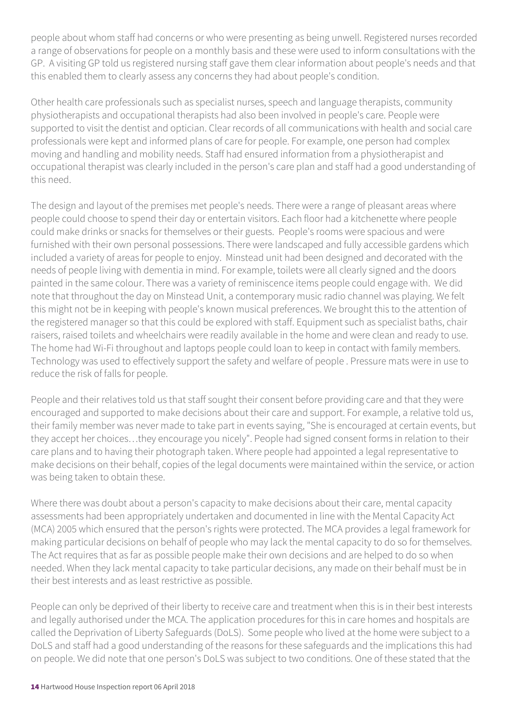people about whom staff had concerns or who were presenting as being unwell. Registered nurses recorded a range of observations for people on a monthly basis and these were used to inform consultations with the GP. A visiting GP told us registered nursing staff gave them clear information about people's needs and that this enabled them to clearly assess any concerns they had about people's condition.

Other health care professionals such as specialist nurses, speech and language therapists, community physiotherapists and occupational therapists had also been involved in people's care. People were supported to visit the dentist and optician. Clear records of all communications with health and social care professionals were kept and informed plans of care for people. For example, one person had complex moving and handling and mobility needs. Staff had ensured information from a physiotherapist and occupational therapist was clearly included in the person's care plan and staff had a good understanding of this need.

The design and layout of the premises met people's needs. There were a range of pleasant areas where people could choose to spend their day or entertain visitors. Each floor had a kitchenette where people could make drinks or snacks for themselves or their guests. People's rooms were spacious and were furnished with their own personal possessions. There were landscaped and fully accessible gardens which included a variety of areas for people to enjoy. Minstead unit had been designed and decorated with the needs of people living with dementia in mind. For example, toilets were all clearly signed and the doors painted in the same colour. There was a variety of reminiscence items people could engage with. We did note that throughout the day on Minstead Unit, a contemporary music radio channel was playing. We felt this might not be in keeping with people's known musical preferences. We brought this to the attention of the registered manager so that this could be explored with staff. Equipment such as specialist baths, chair raisers, raised toilets and wheelchairs were readily available in the home and were clean and ready to use. The home had Wi-Fi throughout and laptops people could loan to keep in contact with family members. Technology was used to effectively support the safety and welfare of people . Pressure mats were in use to reduce the risk of falls for people.

People and their relatives told us that staff sought their consent before providing care and that they were encouraged and supported to make decisions about their care and support. For example, a relative told us, their family member was never made to take part in events saying, "She is encouraged at certain events, but they accept her choices…they encourage you nicely". People had signed consent forms in relation to their care plans and to having their photograph taken. Where people had appointed a legal representative to make decisions on their behalf, copies of the legal documents were maintained within the service, or action was being taken to obtain these.

Where there was doubt about a person's capacity to make decisions about their care, mental capacity assessments had been appropriately undertaken and documented in line with the Mental Capacity Act (MCA) 2005 which ensured that the person's rights were protected. The MCA provides a legal framework for making particular decisions on behalf of people who may lack the mental capacity to do so for themselves. The Act requires that as far as possible people make their own decisions and are helped to do so when needed. When they lack mental capacity to take particular decisions, any made on their behalf must be in their best interests and as least restrictive as possible.

People can only be deprived of their liberty to receive care and treatment when this is in their best interests and legally authorised under the MCA. The application procedures for this in care homes and hospitals are called the Deprivation of Liberty Safeguards (DoLS). Some people who lived at the home were subject to a DoLS and staff had a good understanding of the reasons for these safeguards and the implications this had on people. We did note that one person's DoLS was subject to two conditions. One of these stated that the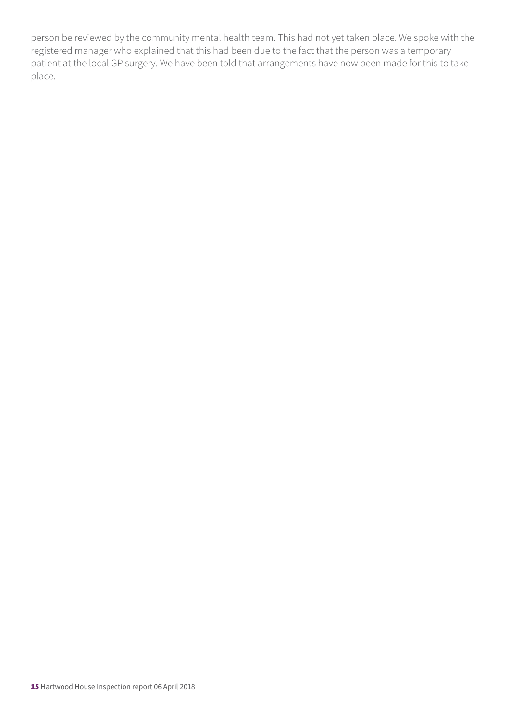person be reviewed by the community mental health team. This had not yet taken place. We spoke with the registered manager who explained that this had been due to the fact that the person was a temporary patient at the local GP surgery. We have been told that arrangements have now been made for this to take place.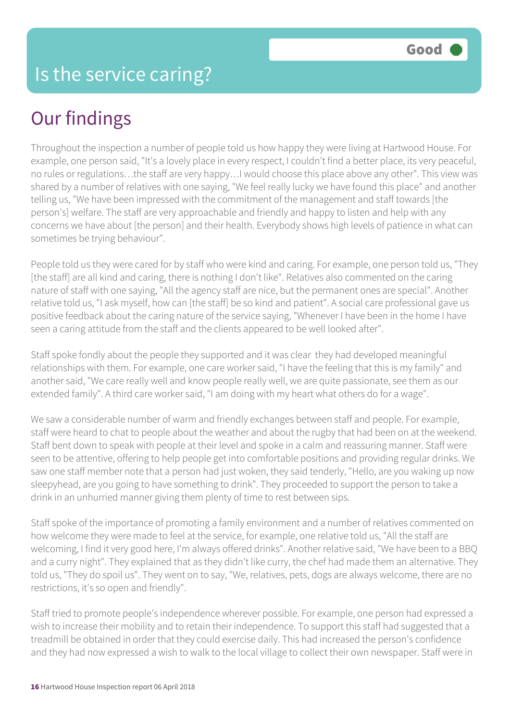# Our findings

Throughout the inspection a number of people told us how happy they were living at Hartwood House. For example, one person said, "It's a lovely place in every respect, I couldn't find a better place, its very peaceful, no rules or regulations…the staff are very happy…I would choose this place above any other". This view was shared by a number of relatives with one saying, "We feel really lucky we have found this place" and another telling us, "We have been impressed with the commitment of the management and staff towards [the person's] welfare. The staff are very approachable and friendly and happy to listen and help with any concerns we have about [the person] and their health. Everybody shows high levels of patience in what can sometimes be trying behaviour".

People told us they were cared for by staff who were kind and caring. For example, one person told us, "They [the staff] are all kind and caring, there is nothing I don't like". Relatives also commented on the caring nature of staff with one saying, "All the agency staff are nice, but the permanent ones are special". Another relative told us, "I ask myself, how can [the staff] be so kind and patient". A social care professional gave us positive feedback about the caring nature of the service saying, "Whenever I have been in the home I have seen a caring attitude from the staff and the clients appeared to be well looked after".

Staff spoke fondly about the people they supported and it was clear they had developed meaningful relationships with them. For example, one care worker said, "I have the feeling that this is my family" and another said, "We care really well and know people really well, we are quite passionate, see them as our extended family". A third care worker said, "I am doing with my heart what others do for a wage".

We saw a considerable number of warm and friendly exchanges between staff and people. For example, staff were heard to chat to people about the weather and about the rugby that had been on at the weekend. Staff bent down to speak with people at their level and spoke in a calm and reassuring manner. Staff were seen to be attentive, offering to help people get into comfortable positions and providing regular drinks. We saw one staff member note that a person had just woken, they said tenderly, "Hello, are you waking up now sleepyhead, are you going to have something to drink". They proceeded to support the person to take a drink in an unhurried manner giving them plenty of time to rest between sips.

Staff spoke of the importance of promoting a family environment and a number of relatives commented on how welcome they were made to feel at the service, for example, one relative told us, "All the staff are welcoming, I find it very good here, I'm always offered drinks". Another relative said, "We have been to a BBQ and a curry night". They explained that as they didn't like curry, the chef had made them an alternative. They told us, "They do spoil us". They went on to say, "We, relatives, pets, dogs are always welcome, there are no restrictions, it's so open and friendly".

Staff tried to promote people's independence wherever possible. For example, one person had expressed a wish to increase their mobility and to retain their independence. To support this staff had suggested that a treadmill be obtained in order that they could exercise daily. This had increased the person's confidence and they had now expressed a wish to walk to the local village to collect their own newspaper. Staff were in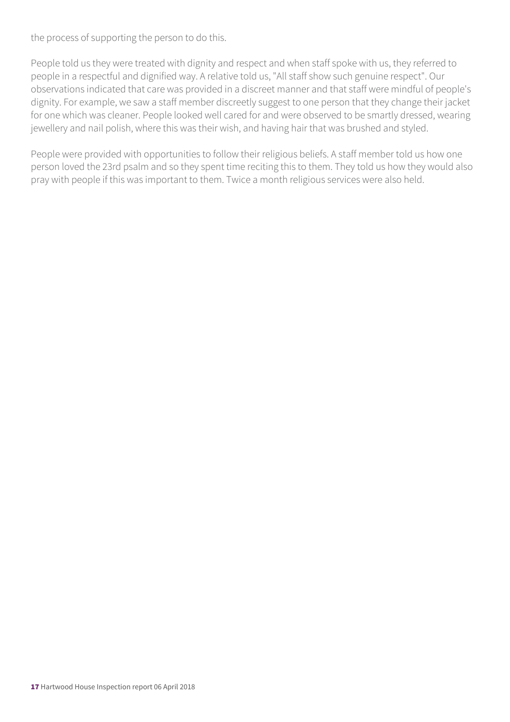the process of supporting the person to do this.

People told us they were treated with dignity and respect and when staff spoke with us, they referred to people in a respectful and dignified way. A relative told us, "All staff show such genuine respect". Our observations indicated that care was provided in a discreet manner and that staff were mindful of people's dignity. For example, we saw a staff member discreetly suggest to one person that they change their jacket for one which was cleaner. People looked well cared for and were observed to be smartly dressed, wearing jewellery and nail polish, where this was their wish, and having hair that was brushed and styled.

People were provided with opportunities to follow their religious beliefs. A staff member told us how one person loved the 23rd psalm and so they spent time reciting this to them. They told us how they would also pray with people if this was important to them. Twice a month religious services were also held.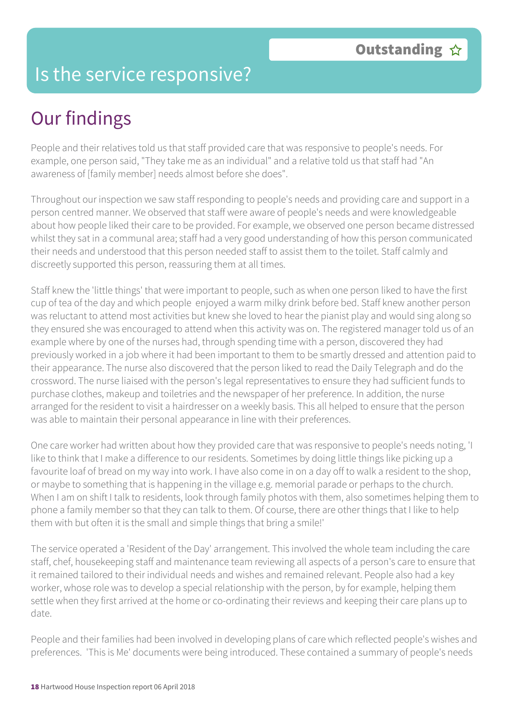## Is the service responsive?

# Our findings

People and their relatives told us that staff provided care that was responsive to people's needs. For example, one person said, "They take me as an individual" and a relative told us that staff had "An awareness of [family member] needs almost before she does".

Throughout our inspection we saw staff responding to people's needs and providing care and support in a person centred manner. We observed that staff were aware of people's needs and were knowledgeable about how people liked their care to be provided. For example, we observed one person became distressed whilst they sat in a communal area; staff had a very good understanding of how this person communicated their needs and understood that this person needed staff to assist them to the toilet. Staff calmly and discreetly supported this person, reassuring them at all times.

Staff knew the 'little things' that were important to people, such as when one person liked to have the first cup of tea of the day and which people enjoyed a warm milky drink before bed. Staff knew another person was reluctant to attend most activities but knew she loved to hear the pianist play and would sing along so they ensured she was encouraged to attend when this activity was on. The registered manager told us of an example where by one of the nurses had, through spending time with a person, discovered they had previously worked in a job where it had been important to them to be smartly dressed and attention paid to their appearance. The nurse also discovered that the person liked to read the Daily Telegraph and do the crossword. The nurse liaised with the person's legal representatives to ensure they had sufficient funds to purchase clothes, makeup and toiletries and the newspaper of her preference. In addition, the nurse arranged for the resident to visit a hairdresser on a weekly basis. This all helped to ensure that the person was able to maintain their personal appearance in line with their preferences.

One care worker had written about how they provided care that was responsive to people's needs noting, 'I like to think that I make a difference to our residents. Sometimes by doing little things like picking up a favourite loaf of bread on my way into work. I have also come in on a day off to walk a resident to the shop, or maybe to something that is happening in the village e.g. memorial parade or perhaps to the church. When I am on shift I talk to residents, look through family photos with them, also sometimes helping them to phone a family member so that they can talk to them. Of course, there are other things that I like to help them with but often it is the small and simple things that bring a smile!'

The service operated a 'Resident of the Day' arrangement. This involved the whole team including the care staff, chef, housekeeping staff and maintenance team reviewing all aspects of a person's care to ensure that it remained tailored to their individual needs and wishes and remained relevant. People also had a key worker, whose role was to develop a special relationship with the person, by for example, helping them settle when they first arrived at the home or co-ordinating their reviews and keeping their care plans up to date.

People and their families had been involved in developing plans of care which reflected people's wishes and preferences. 'This is Me' documents were being introduced. These contained a summary of people's needs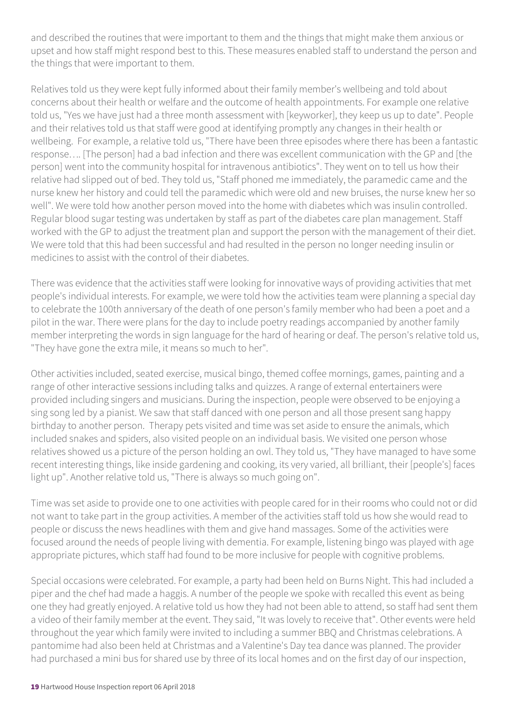and described the routines that were important to them and the things that might make them anxious or upset and how staff might respond best to this. These measures enabled staff to understand the person and the things that were important to them.

Relatives told us they were kept fully informed about their family member's wellbeing and told about concerns about their health or welfare and the outcome of health appointments. For example one relative told us, "Yes we have just had a three month assessment with [keyworker], they keep us up to date". People and their relatives told us that staff were good at identifying promptly any changes in their health or wellbeing. For example, a relative told us, "There have been three episodes where there has been a fantastic response…. [The person] had a bad infection and there was excellent communication with the GP and [the person] went into the community hospital for intravenous antibiotics". They went on to tell us how their relative had slipped out of bed. They told us, "Staff phoned me immediately, the paramedic came and the nurse knew her history and could tell the paramedic which were old and new bruises, the nurse knew her so well". We were told how another person moved into the home with diabetes which was insulin controlled. Regular blood sugar testing was undertaken by staff as part of the diabetes care plan management. Staff worked with the GP to adjust the treatment plan and support the person with the management of their diet. We were told that this had been successful and had resulted in the person no longer needing insulin or medicines to assist with the control of their diabetes.

There was evidence that the activities staff were looking for innovative ways of providing activities that met people's individual interests. For example, we were told how the activities team were planning a special day to celebrate the 100th anniversary of the death of one person's family member who had been a poet and a pilot in the war. There were plans for the day to include poetry readings accompanied by another family member interpreting the words in sign language for the hard of hearing or deaf. The person's relative told us, "They have gone the extra mile, it means so much to her".

Other activities included, seated exercise, musical bingo, themed coffee mornings, games, painting and a range of other interactive sessions including talks and quizzes. A range of external entertainers were provided including singers and musicians. During the inspection, people were observed to be enjoying a sing song led by a pianist. We saw that staff danced with one person and all those present sang happy birthday to another person. Therapy pets visited and time was set aside to ensure the animals, which included snakes and spiders, also visited people on an individual basis. We visited one person whose relatives showed us a picture of the person holding an owl. They told us, "They have managed to have some recent interesting things, like inside gardening and cooking, its very varied, all brilliant, their [people's] faces light up". Another relative told us, "There is always so much going on".

Time was set aside to provide one to one activities with people cared for in their rooms who could not or did not want to take part in the group activities. A member of the activities staff told us how she would read to people or discuss the news headlines with them and give hand massages. Some of the activities were focused around the needs of people living with dementia. For example, listening bingo was played with age appropriate pictures, which staff had found to be more inclusive for people with cognitive problems.

Special occasions were celebrated. For example, a party had been held on Burns Night. This had included a piper and the chef had made a haggis. A number of the people we spoke with recalled this event as being one they had greatly enjoyed. A relative told us how they had not been able to attend, so staff had sent them a video of their family member at the event. They said, "It was lovely to receive that". Other events were held throughout the year which family were invited to including a summer BBQ and Christmas celebrations. A pantomime had also been held at Christmas and a Valentine's Day tea dance was planned. The provider had purchased a mini bus for shared use by three of its local homes and on the first day of our inspection,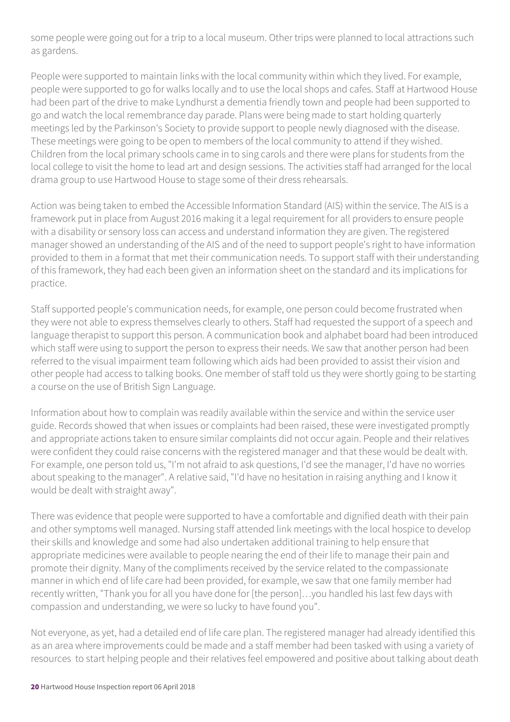some people were going out for a trip to a local museum. Other trips were planned to local attractions such as gardens.

People were supported to maintain links with the local community within which they lived. For example, people were supported to go for walks locally and to use the local shops and cafes. Staff at Hartwood House had been part of the drive to make Lyndhurst a dementia friendly town and people had been supported to go and watch the local remembrance day parade. Plans were being made to start holding quarterly meetings led by the Parkinson's Society to provide support to people newly diagnosed with the disease. These meetings were going to be open to members of the local community to attend if they wished. Children from the local primary schools came in to sing carols and there were plans for students from the local college to visit the home to lead art and design sessions. The activities staff had arranged for the local drama group to use Hartwood House to stage some of their dress rehearsals.

Action was being taken to embed the Accessible Information Standard (AIS) within the service. The AIS is a framework put in place from August 2016 making it a legal requirement for all providers to ensure people with a disability or sensory loss can access and understand information they are given. The registered manager showed an understanding of the AIS and of the need to support people's right to have information provided to them in a format that met their communication needs. To support staff with their understanding of this framework, they had each been given an information sheet on the standard and its implications for practice.

Staff supported people's communication needs, for example, one person could become frustrated when they were not able to express themselves clearly to others. Staff had requested the support of a speech and language therapist to support this person. A communication book and alphabet board had been introduced which staff were using to support the person to express their needs. We saw that another person had been referred to the visual impairment team following which aids had been provided to assist their vision and other people had access to talking books. One member of staff told us they were shortly going to be starting a course on the use of British Sign Language.

Information about how to complain was readily available within the service and within the service user guide. Records showed that when issues or complaints had been raised, these were investigated promptly and appropriate actions taken to ensure similar complaints did not occur again. People and their relatives were confident they could raise concerns with the registered manager and that these would be dealt with. For example, one person told us, "I'm not afraid to ask questions, I'd see the manager, I'd have no worries about speaking to the manager". A relative said, "I'd have no hesitation in raising anything and I know it would be dealt with straight away".

There was evidence that people were supported to have a comfortable and dignified death with their pain and other symptoms well managed. Nursing staff attended link meetings with the local hospice to develop their skills and knowledge and some had also undertaken additional training to help ensure that appropriate medicines were available to people nearing the end of their life to manage their pain and promote their dignity. Many of the compliments received by the service related to the compassionate manner in which end of life care had been provided, for example, we saw that one family member had recently written, "Thank you for all you have done for [the person]…you handled his last few days with compassion and understanding, we were so lucky to have found you".

Not everyone, as yet, had a detailed end of life care plan. The registered manager had already identified this as an area where improvements could be made and a staff member had been tasked with using a variety of resources to start helping people and their relatives feel empowered and positive about talking about death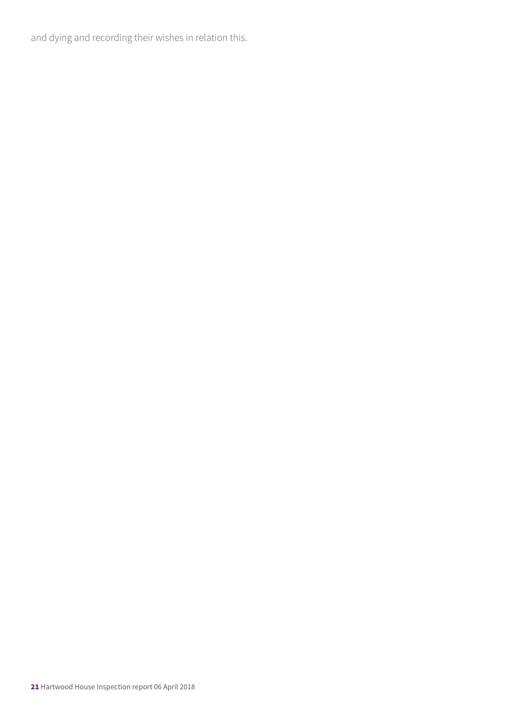and dying and recording their wishes in relation this.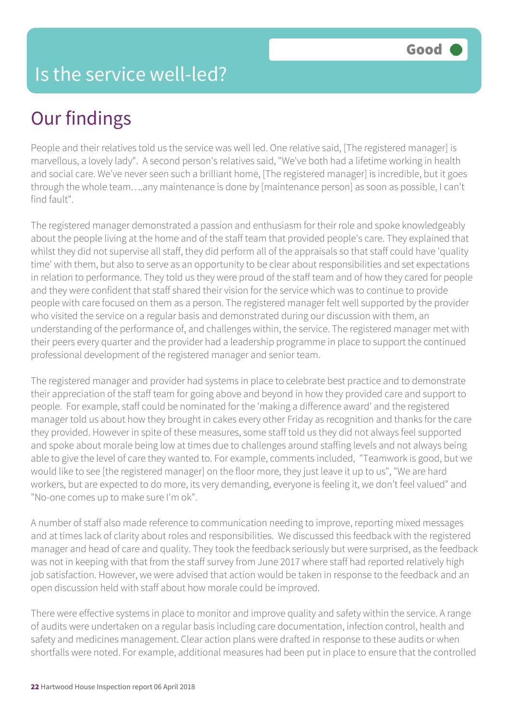# Our findings

People and their relatives told us the service was well led. One relative said, [The registered manager] is marvellous, a lovely lady". A second person's relatives said, "We've both had a lifetime working in health and social care. We've never seen such a brilliant home, [The registered manager] is incredible, but it goes through the whole team….any maintenance is done by [maintenance person] as soon as possible, I can't find fault".

The registered manager demonstrated a passion and enthusiasm for their role and spoke knowledgeably about the people living at the home and of the staff team that provided people's care. They explained that whilst they did not supervise all staff, they did perform all of the appraisals so that staff could have 'quality time' with them, but also to serve as an opportunity to be clear about responsibilities and set expectations in relation to performance. They told us they were proud of the staff team and of how they cared for people and they were confident that staff shared their vision for the service which was to continue to provide people with care focused on them as a person. The registered manager felt well supported by the provider who visited the service on a regular basis and demonstrated during our discussion with them, an understanding of the performance of, and challenges within, the service. The registered manager met with their peers every quarter and the provider had a leadership programme in place to support the continued professional development of the registered manager and senior team.

The registered manager and provider had systems in place to celebrate best practice and to demonstrate their appreciation of the staff team for going above and beyond in how they provided care and support to people. For example, staff could be nominated for the 'making a difference award' and the registered manager told us about how they brought in cakes every other Friday as recognition and thanks for the care they provided. However in spite of these measures, some staff told us they did not always feel supported and spoke about morale being low at times due to challenges around staffing levels and not always being able to give the level of care they wanted to. For example, comments included, "Teamwork is good, but we would like to see [the registered manager] on the floor more, they just leave it up to us", "We are hard workers, but are expected to do more, its very demanding, everyone is feeling it, we don't feel valued" and "No-one comes up to make sure I'm ok".

A number of staff also made reference to communication needing to improve, reporting mixed messages and at times lack of clarity about roles and responsibilities. We discussed this feedback with the registered manager and head of care and quality. They took the feedback seriously but were surprised, as the feedback was not in keeping with that from the staff survey from June 2017 where staff had reported relatively high job satisfaction. However, we were advised that action would be taken in response to the feedback and an open discussion held with staff about how morale could be improved.

There were effective systems in place to monitor and improve quality and safety within the service. A range of audits were undertaken on a regular basis including care documentation, infection control, health and safety and medicines management. Clear action plans were drafted in response to these audits or when shortfalls were noted. For example, additional measures had been put in place to ensure that the controlled